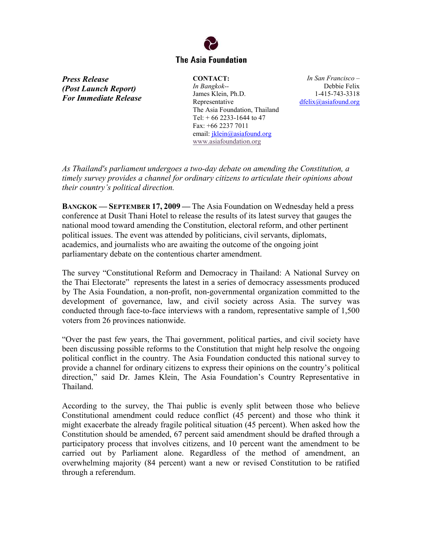## **The Asia Foundation**

*Press Release (Post Launch Report) For Immediate Release*  **CONTACT:**  *In Bangkok--*  James Klein, Ph.D. Representative The Asia Foundation, Thailand Tel:  $+ 66$  2233-1644 to 47 Fax: +66 2237 7011 email: [jklein@asiafound.org](mailto:jklein@asiafound.org) [www.asiafoundation.org](http://www.asiafoundation.org/)

*In San Francisco –*  Debbie Felix 1-415-743-3318 [dfelix@asiafound.org](mailto:dfelix@asiafound.org)

*As Thailand's parliament undergoes a two-day debate on amending the Constitution, a timely survey provides a channel for ordinary citizens to articulate their opinions about their country's political direction.* 

**BANGKOK — SEPTEMBER 17, 2009 —** The Asia Foundation on Wednesday held a press conference at Dusit Thani Hotel to release the results of its latest survey that gauges the national mood toward amending the Constitution, electoral reform, and other pertinent political issues. The event was attended by politicians, civil servants, diplomats, academics, and journalists who are awaiting the outcome of the ongoing joint parliamentary debate on the contentious charter amendment.

The survey "Constitutional Reform and Democracy in Thailand: A National Survey on the Thai Electorate" represents the latest in a series of democracy assessments produced by The Asia Foundation, a non-profit, non-governmental organization committed to the development of governance, law, and civil society across Asia. The survey was conducted through face-to-face interviews with a random, representative sample of 1,500 voters from 26 provinces nationwide.

"Over the past few years, the Thai government, political parties, and civil society have been discussing possible reforms to the Constitution that might help resolve the ongoing political conflict in the country. The Asia Foundation conducted this national survey to provide a channel for ordinary citizens to express their opinions on the country's political direction," said Dr. James Klein, The Asia Foundation's Country Representative in Thailand.

According to the survey, the Thai public is evenly split between those who believe Constitutional amendment could reduce conflict (45 percent) and those who think it might exacerbate the already fragile political situation (45 percent). When asked how the Constitution should be amended, 67 percent said amendment should be drafted through a participatory process that involves citizens, and 10 percent want the amendment to be carried out by Parliament alone. Regardless of the method of amendment, an overwhelming majority (84 percent) want a new or revised Constitution to be ratified through a referendum.